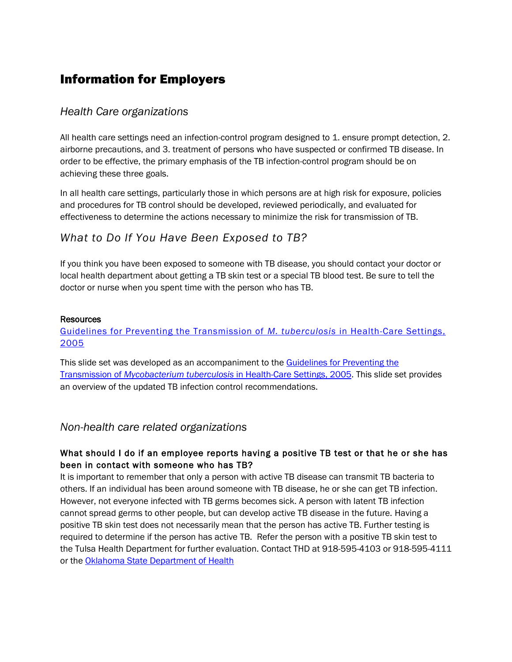# Information for Employers

## *Health Care organizations*

All health care settings need an infection-control program designed to 1. ensure prompt detection, 2. airborne precautions, and 3. treatment of persons who have suspected or confirmed TB disease. In order to be effective, the primary emphasis of the TB infection-control program should be on achieving these three goals.

In all health care settings, particularly those in which persons are at high risk for exposure, policies and procedures for TB control should be developed, reviewed periodically, and evaluated for effectiveness to determine the actions necessary to minimize the risk for transmission of TB.

## *What to Do If You Have Been Exposed to TB?*

If you think you have been exposed to someone with TB disease, you should contact your doctor or local health department about getting a TB skin test or a special TB blood test. Be sure to tell the doctor or nurse when you spent time with the person who has TB.

#### Resources

## [Guidelines for Preventing the Transmission of](http://www.cdc.gov/tb/publications/slidesets/InfectionGuidelines/default.htm) *M. tuberculosis* in Health-Care Settings, [2005](http://www.cdc.gov/tb/publications/slidesets/InfectionGuidelines/default.htm)

This slide set was developed as an accompaniment to the Guidelines for Preventing the Transmission of *Mycobacterium tuberculosis* [in Health-Care Settings, 2005.](http://www.cdc.gov/tb/publications/guidelines/infectioncontrol.htm) This slide set provides an overview of the updated TB infection control recommendations.

## *Non-health care related organizations*

## What should I do if an employee reports having a positive TB test or that he or she has been in contact with someone who has TB?

It is important to remember that only a person with active TB disease can transmit TB bacteria to others. If an individual has been around someone with TB disease, he or she can get TB infection. However, not everyone infected with TB germs becomes sick. A person with latent TB infection cannot spread germs to other people, but can develop active TB disease in the future. Having a positive TB skin test does not necessarily mean that the person has active TB. Further testing is required to determine if the person has active TB. Refer the person with a positive TB skin test to the Tulsa Health Department for further evaluation. Contact THD at 918-595-4103 or 918-595-4111 or the [Oklahoma State Department of Health](http://www.ok.gov/health/Disease,_Prevention,_Preparedness/Acute_Disease_Service/)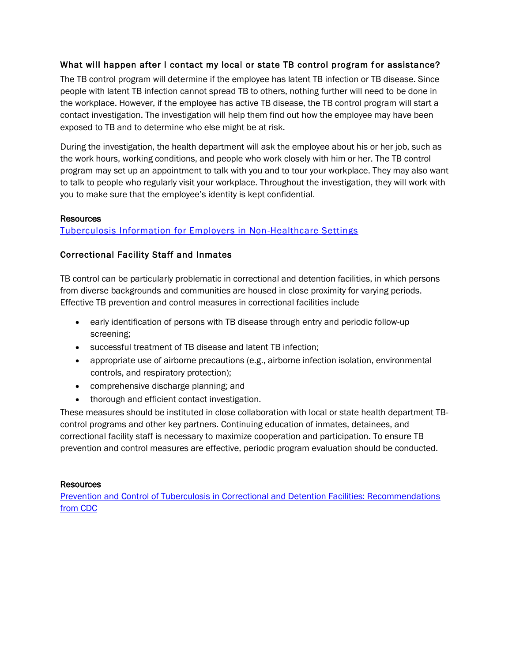## What will happen after I contact my local or state TB control program for assistance?

The TB control program will determine if the employee has latent TB infection or TB disease. Since people with latent TB infection cannot spread TB to others, nothing further will need to be done in the workplace. However, if the employee has active TB disease, the TB control program will start a contact investigation. The investigation will help them find out how the employee may have been exposed to TB and to determine who else might be at risk.

During the investigation, the health department will ask the employee about his or her job, such as the work hours, working conditions, and people who work closely with him or her. The TB control program may set up an appointment to talk with you and to tour your workplace. They may also want to talk to people who regularly visit your workplace. Throughout the investigation, they will work with you to make sure that the employee's identity is kept confidential.

#### Resources

### [Tuberculosis Information for Employers in Non-Healthcare Settings](http://www.cdc.gov/tb/publications/factsheets/general/nonhealthcare_employers.htm)

#### Correctional Facility Staff and Inmates

TB control can be particularly problematic in correctional and detention facilities, in which persons from diverse backgrounds and communities are housed in close proximity for varying periods. Effective TB prevention and control measures in correctional facilities include

- early identification of persons with TB disease through entry and periodic follow-up screening;
- successful treatment of TB disease and latent TB infection;
- appropriate use of airborne precautions (e.g., airborne infection isolation, environmental controls, and respiratory protection);
- comprehensive discharge planning; and
- thorough and efficient contact investigation.

These measures should be instituted in close collaboration with local or state health department TBcontrol programs and other key partners. Continuing education of inmates, detainees, and correctional facility staff is necessary to maximize cooperation and participation. To ensure TB prevention and control measures are effective, periodic program evaluation should be conducted.

#### **Resources**

[Prevention and Control of Tuberculosis in Correctional and Detention Facilities: Recommendations](http://www.cdc.gov/mmwr/preview/mmwrhtml/rr5509a1.htm)  [from CDC](http://www.cdc.gov/mmwr/preview/mmwrhtml/rr5509a1.htm)